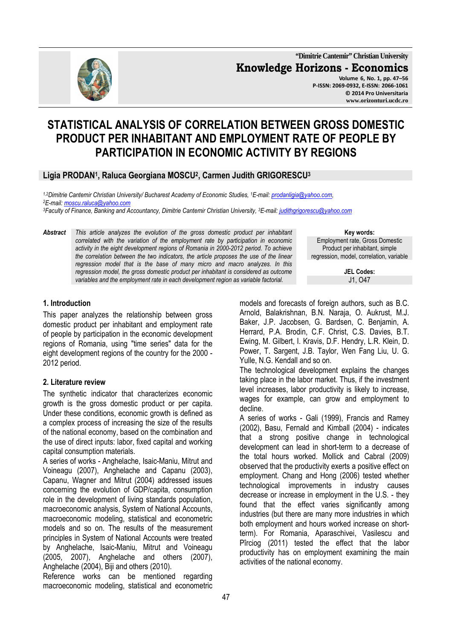

**"Dimitrie Cantemir" Christian University Knowledge Horizons - Economics Volume 6, No. 1, pp. 47–56 P-ISSN: 2069-0932, E-ISSN: 2066-1061 © 2014 Pro Universitaria www.orizonturi.ucdc.ro**

# **STATISTICAL ANALYSIS OF CORRELATION BETWEEN GROSS DOMESTIC PRODUCT PER INHABITANT AND EMPLOYMENT RATE OF PEOPLE BY PARTICIPATION IN ECONOMIC ACTIVITY BY REGIONS**

# **Ligia PRODAN<sup>1</sup> , Raluca Georgiana MOSCU<sup>2</sup> , Carmen Judith GRIGORESCU<sup>3</sup>**

*1,2Dimitrie Cantemir Christian University/ Bucharest Academy of Economic Studies, <sup>1</sup>E-mail: prodanligia@yahoo.com, <sup>2</sup>E-mail: moscu.raluca@yahoo.com* 

*<sup>3</sup>Faculty of Finance, Banking and Accountancy, Dimitrie Cantemir Christian University, <sup>3</sup>E-mail: judithgrigorescu@yahoo.com* 

*Abstract This article analyzes the evolution of the gross domestic product per inhabitant correlated with the variation of the employment rate by participation in economic activity in the eight development regions of Romania in 2000-2012 period. To achieve the correlation between the two indicators, the article proposes the use of the linear regression model that is the base of many micro and macro analyzes. In this regression model, the gross domestic product per inhabitant is considered as outcome variables and the employment rate in each development region as variable factorial.* 

**Key words:** Employment rate, Gross Domestic Product per inhabitant, simple regression, model, correlation, variable

> **JEL Codes:** J1, O47

### **1. Introduction**

This paper analyzes the relationship between gross domestic product per inhabitant and employment rate of people by participation in the economic development regions of Romania, using "time series" data for the eight development regions of the country for the 2000 - 2012 period.

# **2. Literature review**

The synthetic indicator that characterizes economic growth is the gross domestic product or per capita. Under these conditions, economic growth is defined as a complex process of increasing the size of the results of the national economy, based on the combination and the use of direct inputs: labor, fixed capital and working capital consumption materials.

A series of works - Anghelache, Isaic-Maniu, Mitrut and Voineagu (2007), Anghelache and Capanu (2003), Capanu, Wagner and Mitrut (2004) addressed issues concerning the evolution of GDP/capita, consumption role in the development of living standards population, macroeconomic analysis, System of National Accounts, macroeconomic modeling, statistical and econometric models and so on. The results of the measurement principles in System of National Accounts were treated by Anghelache, Isaic-Maniu, Mitrut and Voineagu (2005, 2007), Anghelache and others (2007), Anghelache (2004), Biji and others (2010).

Reference works can be mentioned regarding macroeconomic modeling, statistical and econometric models and forecasts of foreign authors, such as B.C. Arnold, Balakrishnan, B.N. Naraja, O. Aukrust, M.J. Baker, J.P. Jacobsen, G. Bardsen, C. Benjamin, A. Herrard, P.A. Brodin, C.F. Christ, C.S. Davies, B.T. Ewing, M. Gilbert, I. Kravis, D.F. Hendry, L.R. Klein, D. Power, T. Sargent, J.B. Taylor, Wen Fang Liu, U. G. Yulle, N.G. Kendall and so on.

The technological development explains the changes taking place in the labor market. Thus, if the investment level increases, labor productivity is likely to increase, wages for example, can grow and employment to decline.

A series of works - Gali (1999), Francis and Ramey (2002), Basu, Fernald and Kimball (2004) - indicates that a strong positive change in technological development can lead in short-term to a decrease of the total hours worked. Mollick and Cabral (2009) observed that the productivity exerts a positive effect on employment. Chang and Hong (2006) tested whether technological improvements in industry causes decrease or increase in employment in the U.S. - they found that the effect varies significantly among industries (but there are many more industries in which both employment and hours worked increase on shortterm). For Romania, Aparaschivei, Vasilescu and Pîrciog (2011) tested the effect that the labor productivity has on employment examining the main activities of the national economy.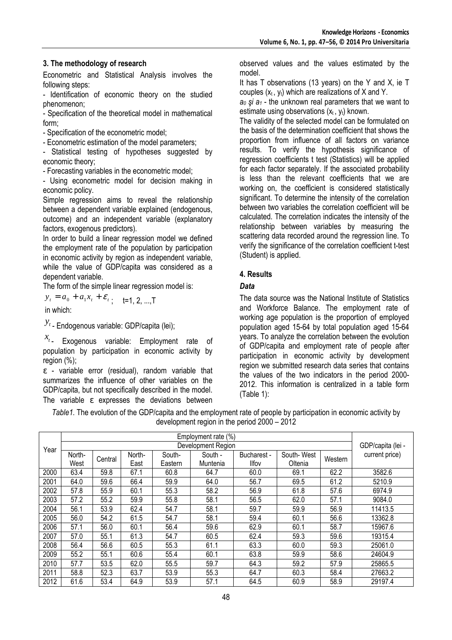# **3. The methodology of research**

Econometric and Statistical Analysis involves the following steps:

- Identification of economic theory on the studied phenomenon;

- Specification of the theoretical model in mathematical form;

- Specification of the econometric model;

- Econometric estimation of the model parameters;

- Statistical testing of hypotheses suggested by economic theory;

- Forecasting variables in the econometric model;

- Using econometric model for decision making in economic policy.

Simple regression aims to reveal the relationship between a dependent variable explained (endogenous, outcome) and an independent variable (explanatory factors, exogenous predictors).

In order to build a linear regression model we defined the employment rate of the population by participation in economic activity by region as independent variable, while the value of GDP/capita was considered as a dependent variable.

The form of the simple linear regression model is:

 $y_t = a_0 + a_1 x_t + \varepsilon_t$ ; t=1, 2, ...,T

in which:

*t y* - Endogenous variable: GDP/capita (lei);

*t x* - Exogenous variable: Employment rate of population by participation in economic activity by region (%);

ε - variable error (residual), random variable that summarizes the influence of other variables on the GDP/capita, but not specifically described in the model. The variable  $\varepsilon$  expresses the deviations between

observed values and the values estimated by the model.

It has T observations (13 years) on the Y and X, ie T couples  $(x_t, y_t)$  which are realizations of X and Y.

 $a_0$  *şi*  $a_1$  - the unknown real parameters that we want to estimate using observations  $(x_t, y_t)$  known.

The validity of the selected model can be formulated on the basis of the determination coefficient that shows the proportion from influence of all factors on variance results. To verify the hypothesis significance of regression coefficients t test (Statistics) will be applied for each factor separately. If the associated probability is less than the relevant coefficients that we are working on, the coefficient is considered statistically significant. To determine the intensity of the correlation between two variables the correlation coefficient will be calculated. The correlation indicates the intensity of the relationship between variables by measuring the scattering data recorded around the regression line. To verify the significance of the correlation coefficient t-test (Student) is applied.

### **4. Results**

### *Data*

The data source was the National Institute of Statistics and Workforce Balance. The employment rate of working age population is the proportion of employed population aged 15-64 by total population aged 15-64 years. To analyze the correlation between the evolution of GDP/capita and employment rate of people after participation in economic activity by development region we submitted research data series that contains the values of the two indicators in the period 2000- 2012. This information is centralized in a table form (Table 1):

*Table1.* The evolution of the GDP/capita and the employment rate of people by participation in economic activity by development region in the period 2000 – 2012

|      |        | Employment rate (%) |        |         |             |              |         |                |         |  |
|------|--------|---------------------|--------|---------|-------------|--------------|---------|----------------|---------|--|
|      |        |                     |        |         |             |              |         |                |         |  |
| Year |        | Development Region  |        |         |             |              |         |                |         |  |
|      | North- | North-              | South- | South - | Bucharest - | South-West   |         | current price) |         |  |
|      | West   | Central             | East   | Eastern | Muntenia    | <b>Ilfov</b> | Oltenia | Western        |         |  |
| 2000 | 63.4   | 59.8                | 67.1   | 60.8    | 64.7        | 60.0         | 69.1    | 62.2           | 3582.6  |  |
| 2001 | 64.0   | 59.6                | 66.4   | 59.9    | 64.0        | 56.7         | 69.5    | 61.2           | 5210.9  |  |
| 2002 | 57.8   | 55.9                | 60.1   | 55.3    | 58.2        | 56.9         | 61.8    | 57.6           | 6974.9  |  |
| 2003 | 57.2   | 55.2                | 59.9   | 55.8    | 58.1        | 56.5         | 62.0    | 57.1           | 9084.0  |  |
| 2004 | 56.1   | 53.9                | 62.4   | 54.7    | 58.1        | 59.7         | 59.9    | 56.9           | 11413.5 |  |
| 2005 | 56.0   | 54.2                | 61.5   | 54.7    | 58.1        | 59.4         | 60.1    | 56.6           | 13362.8 |  |
| 2006 | 57.1   | 56.0                | 60.1   | 56.4    | 59.6        | 62.9         | 60.1    | 58.7           | 15967.6 |  |
| 2007 | 57.0   | 55.1                | 61.3   | 54.7    | 60.5        | 62.4         | 59.3    | 59.6           | 19315.4 |  |
| 2008 | 56.4   | 56.6                | 60.5   | 55.3    | 61.1        | 63.3         | 60.0    | 59.3           | 25061.0 |  |
| 2009 | 55.2   | 55.1                | 60.6   | 55.4    | 60.1        | 63.8         | 59.9    | 58.6           | 24604.9 |  |
| 2010 | 57.7   | 53.5                | 62.0   | 55.5    | 59.7        | 64.3         | 59.2    | 57.9           | 25865.5 |  |
| 2011 | 58.8   | 52.3                | 63.7   | 53.9    | 55.3        | 64.7         | 60.3    | 58.4           | 27663.2 |  |
| 2012 | 61.6   | 53.4                | 64.9   | 53.9    | 57.1        | 64.5         | 60.9    | 58.9           | 29197.4 |  |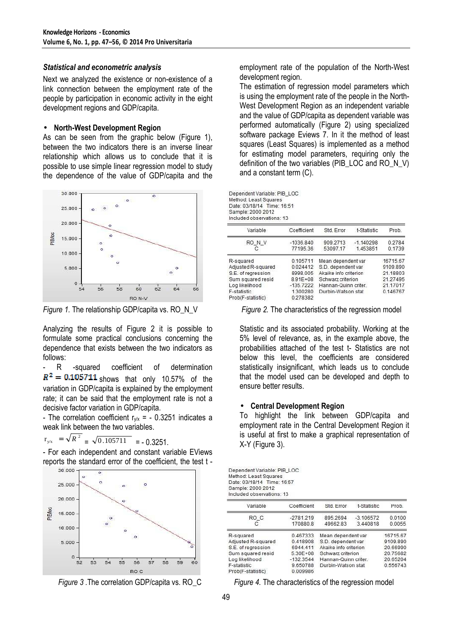### *Statistical and econometric analysis*

Next we analyzed the existence or non-existence of a link connection between the employment rate of the people by participation in economic activity in the eight development regions and GDP/capita.

### • **North-West Development Region**

As can be seen from the graphic below (Figure 1), between the two indicators there is an inverse linear relationship which allows us to conclude that it is possible to use simple linear regression model to study the dependence of the value of GDP/capita and the



Analyzing the results of Figure 2 it is possible to formulate some practical conclusions concerning the dependence that exists between the two indicators as follows:

R -squared coefficient of determination  $R^2 = 0.105711$  shows that only 10.57% of the variation in GDP/capita is explained by the employment rate; it can be said that the employment rate is not a decisive factor variation in GDP/capita.

- The correlation coefficient  $r_{v/x}$  = - 0.3251 indicates a weak link between the two variables.

$$
r_{y/x} = \sqrt{R^2} = \sqrt{0.105711} = -0.3251.
$$

- For each independent and constant variable EViews reports the standard error of the coefficient, the test t -



employment rate of the population of the North-West development region.

The estimation of regression model parameters which is using the employment rate of the people in the North-West Development Region as an independent variable and the value of GDP/capita as dependent variable was performed automatically (Figure 2) using specialized software package Eviews 7. In it the method of least squares (Least Squares) is implemented as a method for estimating model parameters, requiring only the definition of the two variables (PIB\_LOC and RO\_N\_V) and a constant term (C).

|                            | Dependent Variable: PIB LOC |
|----------------------------|-----------------------------|
| Method: Least Squares      |                             |
| Date: 03/18/14 Time: 16:51 |                             |
| Sample: 2000 2012          |                             |
| Included observations: 13  |                             |

| Variable           | Coefficient  | Std. Error            | t-Statistic | Prob.    |
|--------------------|--------------|-----------------------|-------------|----------|
| RO N V             | $-1036.840$  | 909.2713              | $-1.140298$ | 0.2784   |
| С                  | 77195.36     | 53097.17              | 1.453851    | 0.1739   |
| R-squared          | 0.105711     | Mean dependent var    |             | 16715.67 |
| Adjusted R-squared | 0.024412     | S.D. dependent var    |             | 9109.890 |
| S.E. of regression | 8998.005     | Akaike info criterion |             | 21.18803 |
| Sum squared resid  | $8.91E + 08$ | Schwarz criterion     |             | 21.27495 |
| Log likelihood     | $-135.7222$  | Hannan-Quinn criter.  |             | 21.17017 |
| F-statistic        | 1.300280     | Durbin-Watson stat    |             | 0.146767 |
| Prob(F-statistic)  | 0.278382     |                       |             |          |

*Figure 1.* The relationship GDP/capita vs. RO\_N\_V Figure 2. The characteristics of the regression model

Statistic and its associated probability. Working at the 5% level of relevance, as, in the example above, the probabilities attached of the test t- Statistics are not below this level, the coefficients are considered statistically insignificant, which leads us to conclude that the model used can be developed and depth to ensure better results.

### • **Central Development Region**

To highlight the link between GDP/capita and employment rate in the Central Development Region it is useful at first to make a graphical representation of X-Y (Figure 3).

Dependent Variable: PIB\_LOC Method: Least Squares Date: 03/18/14 Time: 16:57 Sample: 2000 2012 Included observations: 13

| Variable           | Coefficient | Std. Error            | t-Statistic | Prob.    |  |  |  |
|--------------------|-------------|-----------------------|-------------|----------|--|--|--|
| RO C               | $-2781.219$ | 895.2694              | $-3.106572$ | 0.0100   |  |  |  |
| С                  | 170880.8    | 49662.83              | 3.440818    | 0.0055   |  |  |  |
| R-squared          | 0.467333    | Mean dependent var    |             | 16715.67 |  |  |  |
| Adjusted R-squared | 0.418908    | S.D. dependent var    |             | 9109.890 |  |  |  |
| S.E. of regression | 6944.411    | Akaike info criterion |             | 20.66990 |  |  |  |
| Sum squared resid  | 5.30E+08    | Schwarz criterion     |             | 20.75682 |  |  |  |
| Log likelihood     | $-132.3544$ | Hannan-Quinn criter   |             | 20.65204 |  |  |  |
| F-statistic        | 9.650788    | Durbin-Watson stat    |             | 0.556743 |  |  |  |
| Prob(F-statistic)  | 0.009986    |                       |             |          |  |  |  |

*Figure 3 .*The correlation GDP/capita vs. RO\_C *Figure 4.* The characteristics of the regression model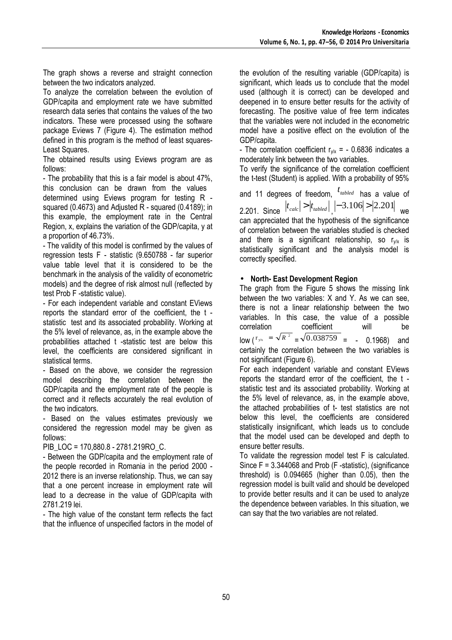The graph shows a reverse and straight connection between the two indicators analyzed.

To analyze the correlation between the evolution of GDP/capita and employment rate we have submitted research data series that contains the values of the two indicators. These were processed using the software package Eviews 7 (Figure 4). The estimation method defined in this program is the method of least squares-Least Squares.

The obtained results using Eviews program are as follows:

- The probability that this is a fair model is about 47%, this conclusion can be drawn from the values determined using Eviews program for testing R squared (0.4673) and Adjusted R - squared (0.4189); in this example, the employment rate in the Central Region, x, explains the variation of the GDP/capita, y at a proportion of 46.73%.

- The validity of this model is confirmed by the values of regression tests F - statistic (9.650788 - far superior value table level that it is considered to be the benchmark in the analysis of the validity of econometric models) and the degree of risk almost null (reflected by test Prob F -statistic value).

- For each independent variable and constant EViews reports the standard error of the coefficient, the t statistic test and its associated probability. Working at the 5% level of relevance, as, in the example above the probabilities attached t -statistic test are below this level, the coefficients are considered significant in statistical terms.

- Based on the above, we consider the regression model describing the correlation between the GDP/capita and the employment rate of the people is correct and it reflects accurately the real evolution of the two indicators.

- Based on the values estimates previously we considered the regression model may be given as follows:

PIB\_LOC = 170,880.8 - 2781,219RO\_C.

- Between the GDP/capita and the employment rate of the people recorded in Romania in the period 2000 - 2012 there is an inverse relationship. Thus, we can say that a one percent increase in employment rate will lead to a decrease in the value of GDP/capita with 2781.219 lei.

- The high value of the constant term reflects the fact that the influence of unspecified factors in the model of the evolution of the resulting variable (GDP/capita) is significant, which leads us to conclude that the model used (although it is correct) can be developed and deepened in to ensure better results for the activity of forecasting. The positive value of free term indicates that the variables were not included in the econometric model have a positive effect on the evolution of the GDP/capita.

- The correlation coefficient  $r_{\psi/x}$  = - 0.6836 indicates a moderately link between the two variables.

To verify the significance of the correlation coefficient the t-test (Student) is applied. With a probability of 95%

and 11 degrees of freedom,  $^{t}$ <sub>tabled</sub> has a value of 2.201. Since  $|t_{calc}| > |t_{tabled}|, |-3.106| > |2.201|$  we can appreciated that the hypothesis of the significance of correlation between the variables studied is checked and there is a significant relationship, so  $r_{v/x}$  is statistically significant and the analysis model is correctly specified.

# • **North- East Development Region**

The graph from the Figure 5 shows the missing link between the two variables: X and Y. As we can see, there is not a linear relationship between the two variables. In this case, the value of a possible correlation coefficient will be  $\int_0^{\frac{\pi}{x}} e^{-\frac{\pi}{x}} dx = \sqrt{0.038759} = -0.1968$  and certainly the correlation between the two variables is not significant (Figure 6).

For each independent variable and constant EViews reports the standard error of the coefficient, the t statistic test and its associated probability. Working at the 5% level of relevance, as, in the example above, the attached probabilities of t- test statistics are not below this level, the coefficients are considered statistically insignificant, which leads us to conclude that the model used can be developed and depth to ensure better results.

To validate the regression model test F is calculated. Since  $F = 3.344068$  and Prob (F -statistic), (significance threshold) is 0.094665 (higher than 0.05), then the regression model is built valid and should be developed to provide better results and it can be used to analyze the dependence between variables. In this situation, we can say that the two variables are not related.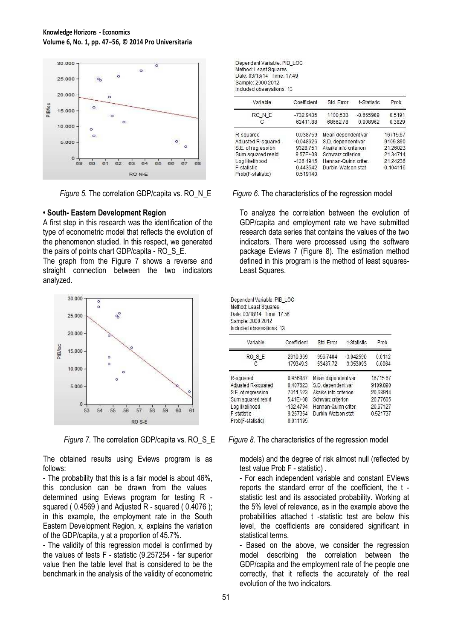

### **• South- Eastern Development Region**

A first step in this research was the identification of the type of econometric model that reflects the evolution of the phenomenon studied. In this respect, we generated the pairs of points chart GDP/capita - RO\_S\_E.

The graph from the Figure 7 shows a reverse and straight connection between the two indicators analyzed.





The obtained results using Eviews program is as follows:

- The probability that this is a fair model is about 46%, this conclusion can be drawn from the values determined using Eviews program for testing R squared ( 0.4569 ) and Adjusted R - squared ( 0.4076 ); in this example, the employment rate in the South Eastern Development Region, x, explains the variation of the GDP/capita, y at a proportion of 45.7%.

- The validity of this regression model is confirmed by the values of tests F - statistic (9.257254 - far superior value then the table level that is considered to be the benchmark in the analysis of the validity of econometric

| Dependent Variable: PIB LOC |  |
|-----------------------------|--|
| Method: Least Squares       |  |
| Date: 03/18/14 Time: 17:49  |  |
| Sample: 2000 2012           |  |
| Included observations: 13   |  |

| Variable           | Coefficient                       | Std. Error           | t-Statistic | Prob.    |
|--------------------|-----------------------------------|----------------------|-------------|----------|
| RO N E             | $-732.9435$                       | 1100.533             | $-0.665989$ | 0.5191   |
| с                  | 62411.88                          | 68662.78             | 0.908962    | 0.3829   |
| R-squared          | 0.038759                          | Mean dependent var   |             | 16715.67 |
| Adjusted R-squared | $-0.048626$                       | S.D. dependent var   |             | 9109.890 |
| S.E. of regression | 9328.751<br>Akaike info criterion |                      | 21.26023    |          |
| Sum squared resid  | $9.57E + 08$                      | Schwarz criterion    |             | 21.34714 |
| Log likelihood     | $-136.1915$                       | Hannan-Quinn criter. |             | 21.24236 |
| F-statistic        | 0.443542                          | Durbin-Watson stat   |             | 0.104116 |
| Prob(F-statistic)  | 0.519140                          |                      |             |          |

### *Figure 5.* The correlation GDP/capita vs. RO<sub>\_N\_</sub>E Figure 6. The characteristics of the regression model

To analyze the correlation between the evolution of GDP/capita and employment rate we have submitted research data series that contains the values of the two indicators. There were processed using the software package Eviews 7 (Figure 8). The estimation method defined in this program is the method of least squares-Least Squares.

Dependent Variable: PIB\_LOC Method: Least Squares Date: 03/18/14 Time: 17:56 Sample: 2000 2012 Included observations: 13

| Variable           | Coefficient  | Std. Error            | t-Statistic | Prob.    |
|--------------------|--------------|-----------------------|-------------|----------|
| RO <sub>SE</sub>   | $-2910.969$  | 956.7404              | $-3.042590$ | 0.0112   |
| С                  | 179349.3     | 53487.72              | 3.353093    | 0.0064   |
| R-squared          | 0.456987     | Mean dependent var    |             | 16715.67 |
| Adjusted R-squared | 0.407623     | S.D. dependent var    |             | 9109.890 |
| S.E. of regression | 7011.523     | Akaike info criterion |             | 20.68914 |
| Sum squared resid  | $5.41E + 08$ | Schwarz criterion     |             | 20.77605 |
| Log likelihood     | $-132.4794$  | Hannan-Quinn criter.  |             | 20.67127 |
| F-statistic        | 9.257354     | Durbin-Watson stat    |             | 0.521737 |
| Prob(F-statistic)  | 0.011195     |                       |             |          |

*Figure 7.* The correlation GDP/capita vs. RO\_S\_E *Figure 8.* The characteristics of the regression model

models) and the degree of risk almost null (reflected by test value Prob F - statistic) .

- For each independent variable and constant EViews reports the standard error of the coefficient, the t statistic test and its associated probability. Working at the 5% level of relevance, as in the example above the probabilities attached t -statistic test are below this level, the coefficients are considered significant in statistical terms.

- Based on the above, we consider the regression model describing the correlation between the GDP/capita and the employment rate of the people one correctly, that it reflects the accurately of the real evolution of the two indicators.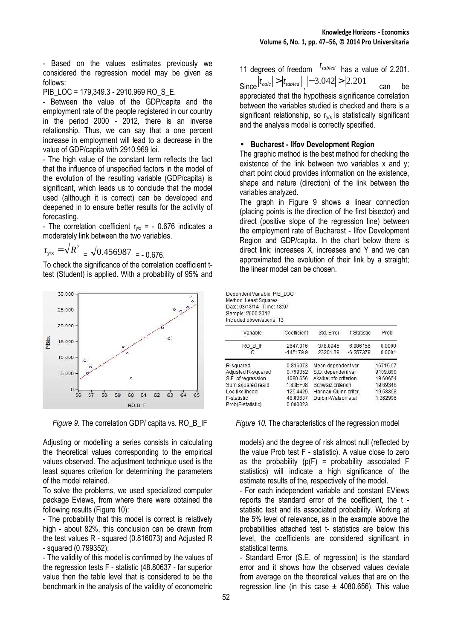- Based on the values estimates previously we considered the regression model may be given as follows:

PIB LOC = 179,349.3 - 2910.969 RO S E.

- Between the value of the GDP/capita and the employment rate of the people registered in our country in the period 2000 - 2012, there is an inverse relationship. Thus, we can say that a one percent increase in employment will lead to a decrease in the value of GDP/capita with 2910.969 lei.

- The high value of the constant term reflects the fact that the influence of unspecified factors in the model of the evolution of the resulting variable (GDP/capita) is significant, which leads us to conclude that the model used (although it is correct) can be developed and deepened in to ensure better results for the activity of forecasting.

- The correlation coefficient  $r_{y/x}$  = - 0.676 indicates a moderately link between the two variables.

$$
r_{y/x} = \sqrt{R^2} = \sqrt{0.456987} = -0.676.
$$

To check the significance of the correlation coefficient ttest (Student) is applied. With a probability of 95% and



Adjusting or modelling a series consists in calculating the theoretical values corresponding to the empirical values observed. The adjustment technique used is the least squares criterion for determining the parameters of the model retained.

To solve the problems, we used specialized computer package Eviews, from where there were obtained the following results (Figure 10):

- The probability that this model is correct is relatively high - about 82%, this conclusion can be drawn from the test values R - squared (0.816073) and Adjusted R - squared (0.799352);

- The validity of this model is confirmed by the values of the regression tests F - statistic (48.80637 - far superior value then the table level that is considered to be the benchmark in the analysis of the validity of econometric

11 degrees of freedom  $t_{\text{tabled}}$  has a value of 2.201.  $\left| t_{calc} \right| > \left| t_{tabled} \right|, \left| -3.042 \right| > \left| 2.201 \right|$  can be appreciated that the hypothesis significance correlation between the variables studied is checked and there is a significant relationship, so  $r_{\text{v/x}}$  is statistically significant and the analysis model is correctly specified.

### • **Bucharest - Ilfov Development Region**

The graphic method is the best method for checking the existence of the link between two variables x and y; chart point cloud provides information on the existence, shape and nature (direction) of the link between the variables analyzed.

The graph in Figure 9 shows a linear connection (placing points is the direction of the first bisector) and direct (positive slope of the regression line) between the employment rate of Bucharest - Ilfov Development Region and GDP/capita. In the chart below there is direct link: increases X, increases and Y and we can approximated the evolution of their link by a straight; the linear model can be chosen.

Dependent Variable: PIB\_LOC Method: Least Squares Date: 03/18/14 Time: 18:07 Sample: 2000 2012 Included observations: 13

| Coefficient  | Std. Error            | t-Statistic | Prob.    |  |  |  |  |
|--------------|-----------------------|-------------|----------|--|--|--|--|
| 2647.016     | 378.8945              | 6.986156    | 0.0000   |  |  |  |  |
| $-145179.9$  | 23201.39              | $-6.257379$ | 0.0001   |  |  |  |  |
| 0.816073     | Mean dependent var    |             | 16715.67 |  |  |  |  |
| 0.799352     | S.D. dependent var    |             | 9109.890 |  |  |  |  |
| 4080.656     | Akaike info criterion |             | 19.60654 |  |  |  |  |
| $1.83E + 08$ | Schwarz criterion     |             | 19.69346 |  |  |  |  |
| $-125.4425$  | Hannan-Quinn criter.  |             | 19,58868 |  |  |  |  |
| 48.80637     | Durbin-Watson stat    |             | 1.362996 |  |  |  |  |
| 0.000023     |                       |             |          |  |  |  |  |
|              |                       |             |          |  |  |  |  |

### *Figure 9.* The correlation GDP/ capita vs. RO\_B\_IF *Figure 10.* The characteristics of the regression model

models) and the degree of risk almost null (reflected by the value Prob test F - statistic). A value close to zero as the probability  $(p(F) =$  probability associated F statistics) will indicate a high significance of the estimate results of the, respectively of the model.

- For each independent variable and constant EViews reports the standard error of the coefficient, the t statistic test and its associated probability. Working at the 5% level of relevance, as in the example above the probabilities attached test t- statistics are below this level, the coefficients are considered significant in statistical terms.

- Standard Error (S.E. of regression) is the standard error and it shows how the observed values deviate from average on the theoretical values that are on the regression line (in this case  $\pm$  4080.656). This value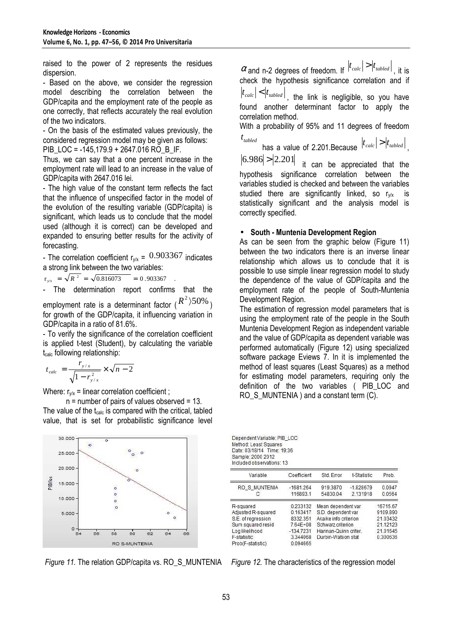raised to the power of 2 represents the residues dispersion.

- Based on the above, we consider the regression model describing the correlation between the GDP/capita and the employment rate of the people as one correctly, that reflects accurately the real evolution of the two indicators.

- On the basis of the estimated values previously, the considered regression model may be given as follows:

PIB LOC = -145,179.9 + 2647.016 RO B IF.

Thus, we can say that a one percent increase in the employment rate will lead to an increase in the value of GDP/capita with 2647.016 lei.

- The high value of the constant term reflects the fact that the influence of unspecified factor in the model of the evolution of the resulting variable (GDP/capita) is significant, which leads us to conclude that the model used (although it is correct) can be developed and expanded to ensuring better results for the activity of forecasting.

- The correlation coefficient  $r_{y/x} = 0.903367$  indicates a strong link between the two variables:

 $r_{y/x}$  =  $\sqrt{R^2}$  =  $\sqrt{0.816073}$  = 0.903367 .

- The determination report confirms that the employment rate is a determinant factor ( $R^2$ ) $50\%$ ) for growth of the GDP/capita, it influencing variation in

GDP/capita in a ratio of 81.6%. - To verify the significance of the correlation coefficient is applied t-test (Student), by calculating the variable t<sub>calc</sub> following relationship:

$$
t_{calc} = \frac{r_{y/x}}{\sqrt{1 - r_{y/x}^2}} \times \sqrt{n - 2}
$$

Where:  $r_{v/x}$  = linear correlation coefficient;

 $n =$  number of pairs of values observed = 13. The value of the  $t_{calc}$  is compared with the critical, tabled value, that is set for probabilistic significance level



*Figure 11.* The relation GDP/capita vs. RO S MUNTENIA *Figure 12.* The characteristics of the regression model

 $\alpha$  and n-2 degrees of freedom. If  $|t_{calc}|>|t_{tabled}|$  , it is check the hypothesis significance correlation and if

 $|t_{calc}| < |t_{tabled}|$ , the link is negligible, so you have found another determinant factor to apply the correlation method.

With a probability of 95% and 11 degrees of freedom  $t_{\textit{tabled}}$ 

has a value of 2.201.Because  $|t_{calc}| > |t_{tabled}|$ ,

 $|6.986| > |2.201|$  it can be appreciated that the hypothesis significance correlation between the variables studied is checked and between the variables studied there are significantly linked, so  $r_{v/x}$  is statistically significant and the analysis model is correctly specified.

# • **South - Muntenia Development Region**

As can be seen from the graphic below (Figure 11) between the two indicators there is an inverse linear relationship which allows us to conclude that it is possible to use simple linear regression model to study the dependence of the value of GDP/capita and the employment rate of the people of South-Muntenia Development Region.

The estimation of regression model parameters that is using the employment rate of the people in the South Muntenia Development Region as independent variable and the value of GDP/capita as dependent variable was performed automatically (Figure 12) using specialized software package Eviews 7. In it is implemented the method of least squares (Least Squares) as a method for estimating model parameters, requiring only the definition of the two variables ( PIB\_LOC and RO S MUNTENIA ) and a constant term (C).

Dependent Variable: PIB LOC Method: Least Squares Date: 03/18/14 Time: 19:36 Sample: 2000 2012 Included observations: 13

| Variable           | Coefficient | Std. Error            | t-Statistic | Prob.    |
|--------------------|-------------|-----------------------|-------------|----------|
| RO S MUNTENIA      | $-1681.264$ | 919.3870              | $-1.828679$ | 0.0947   |
|                    | 116893.1    | 54830.04              | 2.131918    | 0.0564   |
| R-squared          | 0.233132    | Mean dependent var    |             | 16715.67 |
| Adjusted R-squared | 0.163417    | S.D. dependent var    |             | 9109.890 |
| S.E. of regression | 8332.351    | Akaike info criterion |             | 21.03432 |
| Sum squared resid  | 7.64E+08    | Schwarz criterion     |             | 21.12123 |
| Log likelihood     | $-134.7231$ | Hannan-Quinn criter   |             | 21.01645 |
| F-statistic        | 3.344068    | Durbin-Watson stat    |             | 0.300636 |
| Prob(F-statistic)  | 0.094665    |                       |             |          |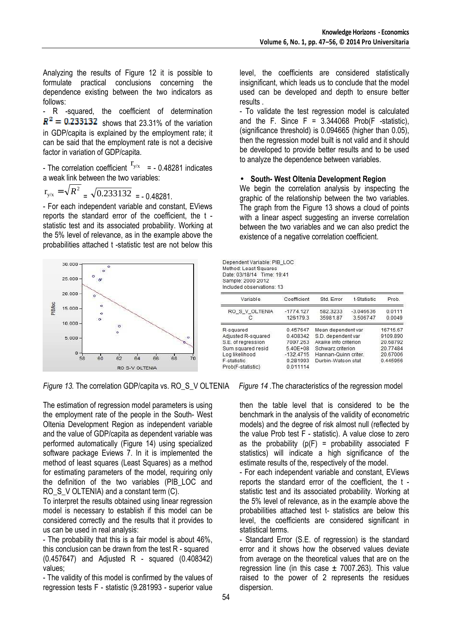Analyzing the results of Figure 12 it is possible to formulate practical conclusions concerning the dependence existing between the two indicators as follows:

- R -squared, the coefficient of determination  $R^2 = 0.233132$  shows that 23.31% of the variation in GDP/capita is explained by the employment rate; it can be said that the employment rate is not a decisive factor in variation of GDP/capita.

- The correlation coefficient  $r_{y/x}$  = - 0.48281 indicates a weak link between the two variables:

$$
r_{y/x} = \sqrt{R^2} = \sqrt{0.233132} = -0.48281.
$$

- For each independent variable and constant, EViews reports the standard error of the coefficient, the t statistic test and its associated probability. Working at the 5% level of relevance, as in the example above the probabilities attached t -statistic test are not below this



*Figure 13.* The correlation GDP/capita vs. RO\_S\_V OLTENIA *Figure 14 .*The characteristics of the regression model

The estimation of regression model parameters is using the employment rate of the people in the South- West Oltenia Development Region as independent variable and the value of GDP/capita as dependent variable was performed automatically (Figure 14) using specialized software package Eviews 7. In it is implemented the method of least squares (Least Squares) as a method for estimating parameters of the model, requiring only the definition of the two variables (PIB\_LOC and RO S V OLTENIA) and a constant term (C).

To interpret the results obtained using linear regression model is necessary to establish if this model can be considered correctly and the results that it provides to us can be used in real analysis:

- The probability that this is a fair model is about 46%, this conclusion can be drawn from the test R - squared (0.457647) and Adjusted R - squared (0.408342) values;

- The validity of this model is confirmed by the values of regression tests F - statistic (9.281993 - superior value level, the coefficients are considered statistically insignificant, which leads us to conclude that the model used can be developed and depth to ensure better results .

- To validate the test regression model is calculated and the F. Since  $F = 3.344068$  Prob(F -statistic), (significance threshold) is 0.094665 (higher than 0.05), then the regression model built is not valid and it should be developed to provide better results and to be used to analyze the dependence between variables.

# • **South- West Oltenia Development Region**

We begin the correlation analysis by inspecting the graphic of the relationship between the two variables. The graph from the Figure 13 shows a cloud of points with a linear aspect suggesting an inverse correlation between the two variables and we can also predict the existence of a negative correlation coefficient.

Dependent Variable: PIB LOC Method: Least Squares Date: 03/18/14 Time: 19:41 Sample: 2000 2012 Included observations: 13

| Variable           | Coefficient  | Std. Error            | t-Statistic | Prob.    |
|--------------------|--------------|-----------------------|-------------|----------|
| RO S V OLTENIA     | $-1774.127$  | 582.3233              | $-3.046636$ | 0.0111   |
| С                  | 126179.3     | 35981.87              | 3.506747    | 0.0049   |
| R-squared          | 0.457647     | Mean dependent var    |             | 16715.67 |
| Adjusted R-squared | 0.408342     | S.D. dependent var    |             | 9109.890 |
| S.E. of regression | 7007.263     | Akaike info criterion |             | 20.68792 |
| Sum squared resid  | $5.40E + 08$ | Schwarz criterion     |             | 20.77484 |
| Log likelihood     | $-132.4715$  | Hannan-Quinn criter.  |             | 20,67006 |
| F-statistic        | 9.281993     | Durbin-Watson stat    |             | 0.445956 |
| Prob(F-statistic)  | 0.011114     |                       |             |          |

then the table level that is considered to be the benchmark in the analysis of the validity of econometric models) and the degree of risk almost null (reflected by the value Prob test F - statistic). A value close to zero as the probability  $(p(F) =$  probability associated F statistics) will indicate a high significance of the estimate results of the, respectively of the model.

- For each independent variable and constant, EViews reports the standard error of the coefficient, the t statistic test and its associated probability. Working at the 5% level of relevance, as in the example above the probabilities attached test t- statistics are below this level, the coefficients are considered significant in statistical terms.

- Standard Error (S.E. of regression) is the standard error and it shows how the observed values deviate from average on the theoretical values that are on the regression line (in this case  $\pm$  7007.263). This value raised to the power of 2 represents the residues dispersion.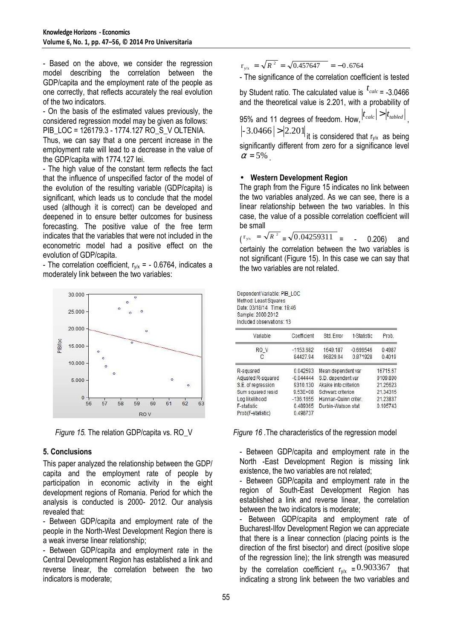- Based on the above, we consider the regression model describing the correlation between the GDP/capita and the employment rate of the people as one correctly, that reflects accurately the real evolution of the two indicators.

- On the basis of the estimated values previously, the considered regression model may be given as follows: PIB\_LOC = 126179.3 - 1774.127 RO\_S\_V OLTENIA.

Thus, we can say that a one percent increase in the employment rate will lead to a decrease in the value of the GDP/capita with 1774.127 lei.

- The high value of the constant term reflects the fact that the influence of unspecified factor of the model of the evolution of the resulting variable (GDP/capita) is significant, which leads us to conclude that the model used (although it is correct) can be developed and deepened in to ensure better outcomes for business forecasting. The positive value of the free term indicates that the variables that were not included in the econometric model had a positive effect on the evolution of GDP/capita.

- The correlation coefficient,  $r_{v/x}$  = - 0.6764, indicates a moderately link between the two variables:



# **5. Conclusions**

This paper analyzed the relationship between the GDP/ capita and the employment rate of people by participation in economic activity in the eight development regions of Romania. Period for which the analysis is conducted is 2000- 2012. Our analysis revealed that:

- Between GDP/capita and employment rate of the people in the North-West Development Region there is a weak inverse linear relationship;

- Between GDP/capita and employment rate in the Central Development Region has established a link and reverse linear, the correlation between the two indicators is moderate;

 $r_{y/x}$  =  $\sqrt{R^2}$  =  $\sqrt{0.457647}$  = -0.6764

- The significance of the correlation coefficient is tested

by Student ratio. The calculated value is  $t_{calc} = -3.0466$ and the theoretical value is 2.201, with a probability of 95% and 11 degrees of freedom. How,  $|t_{calc}| > |t_{subled}|$  ,

 $-3.0466$   $>$   $|2.201|$  it is considered that r<sub>y/x</sub> as being significantly different from zero for a significance level  $\alpha = 5\%$ 

### • **Western Development Region**

The graph from the Figure 15 indicates no link between the two variables analyzed. As we can see, there is a linear relationship between the two variables. In this case, the value of a possible correlation coefficient will be small

 $\binom{r_{\text{y/x}} = \sqrt{R^2} = \sqrt{0.04259311}}{=}$  - 0.206) and certainly the correlation between the two variables is not significant (Figure 15). In this case we can say that the two variables are not related.

Dependent Variable: PIB\_LOC Method: Least Squares Date: 03/18/14 Time: 19:46 Sample: 2000 2012 Included observations: 13

| Variable           | Coefficient  | Std. Error            | t-Statistic | Prob.    |
|--------------------|--------------|-----------------------|-------------|----------|
| RO V               | $-1153.682$  | 1649.187              | $-0.699546$ | 0.4987   |
| С                  | 84427.94     | 96829.04              | 0.871928    | 0.4019   |
| R-squared          | 0.042593     | Mean dependent var    |             | 16715.67 |
| Adjusted R-squared | $-0.044444$  | S.D. dependent var    |             | 9109.890 |
| S.E. of regression | 9310.130     | Akaike info criterion |             | 21.25623 |
| Sum squared resid  | $9.53E + 08$ | Schwarz criterion     |             | 21.34315 |
| Log likelihood     | $-136.1655$  | Hannan-Quinn criter.  |             | 21.23837 |
| F-statistic        | 0.489365     | Durbin-Watson stat    |             | 0.105743 |
| Prob(F-statistic)  | 0.498737     |                       |             |          |

*Figure 15.* The relation GDP/capita vs. RO\_V *Figure 16 .*The characteristics of the regression model

- Between GDP/capita and employment rate in the North -East Development Region is missing link existence, the two variables are not related;

- Between GDP/capita and employment rate in the region of South-East Development Region has established a link and reverse linear, the correlation between the two indicators is moderate;

- Between GDP/capita and employment rate of Bucharest-Ilfov Development Region we can appreciate that there is a linear connection (placing points is the direction of the first bisector) and direct (positive slope of the regression line); the link strength was measured by the correlation coefficient  $r_{v/x} = 0.903367$  that indicating a strong link between the two variables and